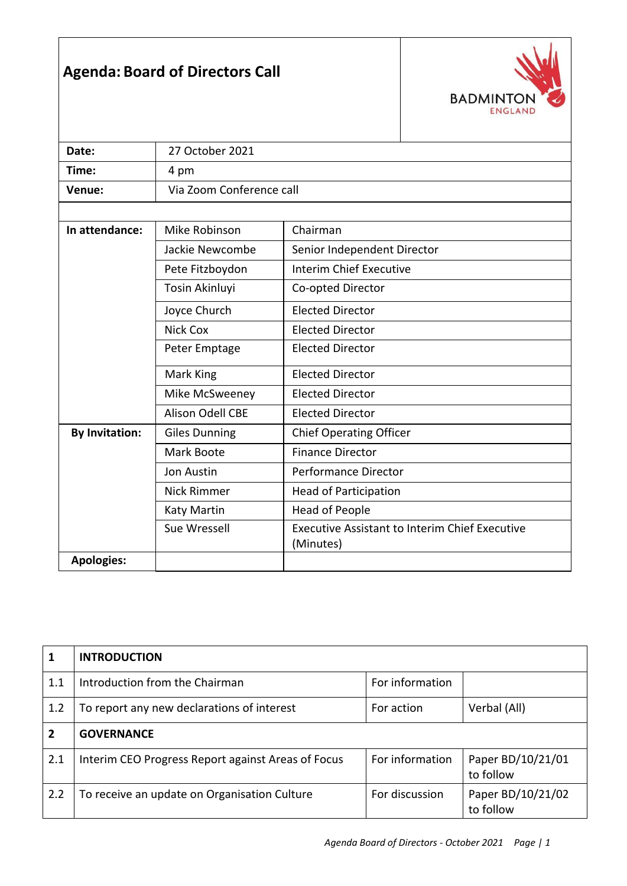## **Agenda: Board of Directors Call**



| Date:                 | 27 October 2021          |                                                                    |  |
|-----------------------|--------------------------|--------------------------------------------------------------------|--|
| Time:                 | 4 pm                     |                                                                    |  |
| Venue:                | Via Zoom Conference call |                                                                    |  |
|                       |                          |                                                                    |  |
| In attendance:        | Mike Robinson            | Chairman                                                           |  |
|                       | Jackie Newcombe          | Senior Independent Director                                        |  |
|                       | Pete Fitzboydon          | <b>Interim Chief Executive</b>                                     |  |
|                       | Tosin Akinluyi           | Co-opted Director                                                  |  |
|                       | Joyce Church             | <b>Elected Director</b>                                            |  |
|                       | <b>Nick Cox</b>          | <b>Elected Director</b>                                            |  |
|                       | Peter Emptage            | <b>Elected Director</b>                                            |  |
|                       | Mark King                | <b>Elected Director</b>                                            |  |
| Mike McSweeney        |                          | <b>Elected Director</b>                                            |  |
|                       | <b>Alison Odell CBE</b>  | <b>Elected Director</b>                                            |  |
| <b>By Invitation:</b> | <b>Giles Dunning</b>     | <b>Chief Operating Officer</b>                                     |  |
|                       | Mark Boote               | <b>Finance Director</b>                                            |  |
|                       | Jon Austin               | Performance Director                                               |  |
|                       | <b>Nick Rimmer</b>       | <b>Head of Participation</b>                                       |  |
|                       | <b>Katy Martin</b>       | <b>Head of People</b>                                              |  |
|                       | Sue Wressell             | <b>Executive Assistant to Interim Chief Executive</b><br>(Minutes) |  |
| <b>Apologies:</b>     |                          |                                                                    |  |

| 1              | <b>INTRODUCTION</b>                                |                 |                                |
|----------------|----------------------------------------------------|-----------------|--------------------------------|
| 1.1            | Introduction from the Chairman                     | For information |                                |
| 1.2            | To report any new declarations of interest         | For action      | Verbal (All)                   |
| $\overline{2}$ | <b>GOVERNANCE</b>                                  |                 |                                |
| 2.1            | Interim CEO Progress Report against Areas of Focus | For information | Paper BD/10/21/01<br>to follow |
| 2.2            | To receive an update on Organisation Culture       | For discussion  | Paper BD/10/21/02<br>to follow |